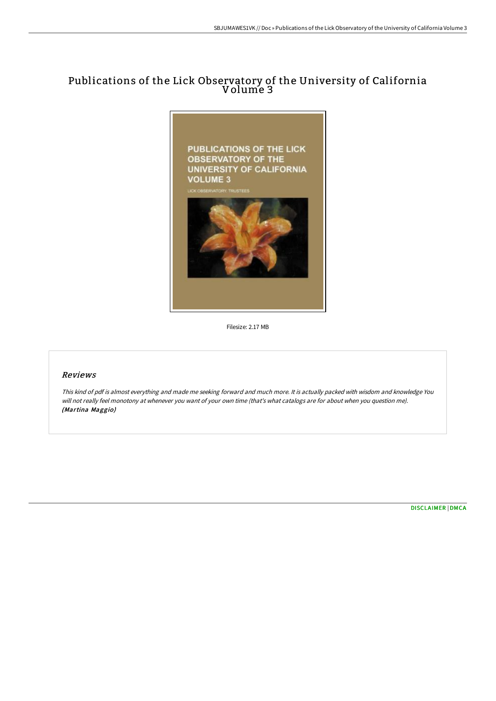## Publications of the Lick Observatory of the University of California Volume 3



Filesize: 2.17 MB

## Reviews

This kind of pdf is almost everything and made me seeking forward and much more. It is actually packed with wisdom and knowledge You will not really feel monotony at whenever you want of your own time (that's what catalogs are for about when you question me). (Martina Maggio)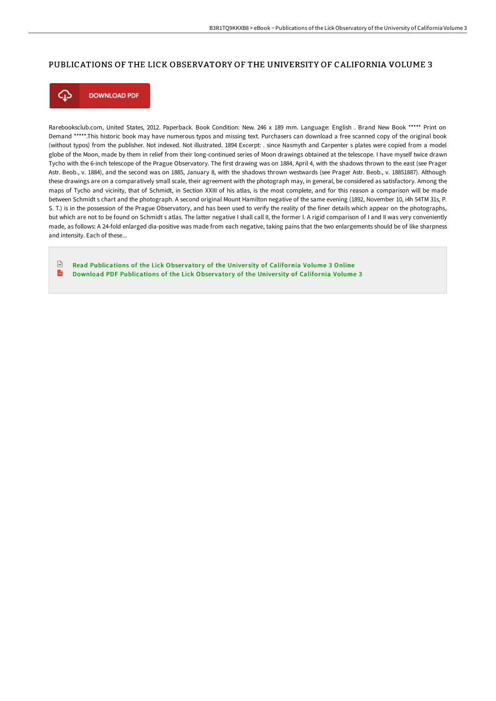## PUBLICATIONS OF THE LICK OBSERVATORY OF THE UNIVERSITY OF CALIFORNIA VOLUME 3



**DOWNLOAD PDF** 

Rarebooksclub.com, United States, 2012. Paperback. Book Condition: New. 246 x 189 mm. Language: English . Brand New Book \*\*\*\*\* Print on Demand \*\*\*\*\*.This historic book may have numerous typos and missing text. Purchasers can download a free scanned copy of the original book (without typos) from the publisher. Not indexed. Not illustrated. 1894 Excerpt: . since Nasmyth and Carpenter s plates were copied from a model globe of the Moon, made by them in relief from their long-continued series of Moon drawings obtained at the telescope. I have myself twice drawn Tycho with the 6-inch telescope of the Prague Observatory. The first drawing was on 1884, April 4, with the shadows thrown to the east (see Prager Astr. Beob., v. 1884), and the second was on 1885, January 8, with the shadows thrown westwards (see Prager Astr. Beob., v. 18851887). Although these drawings are on a comparatively small scale, their agreement with the photograph may, in general, be considered as satisfactory. Among the maps of Tycho and vicinity, that of Schmidt, in Section XXIII of his atlas, is the most complete, and for this reason a comparison will be made between Schmidt s chart and the photograph. A second original Mount Hamilton negative of the same evening (1892, November 10, i4h 54TM 31s, P. S. T.) is in the possession of the Prague Observatory, and has been used to verify the reality of the finer details which appear on the photographs, but which are not to be found on Schmidt s atlas. The latter negative I shall call II, the former I. A rigid comparison of I and II was very conveniently made, as follows: A 24-fold enlarged dia-positive was made from each negative, taking pains that the two enlargements should be of like sharpness and intensity. Each of these...

 $\sqrt{\frac{1}{n+1}}$ Read [Publications](http://www.bookdirs.com/publications-of-the-lick-observatory-of-the-univ.html) of the Lick Observatory of the University of California Volume 3 Online  $\mathbb{R}$ Download PDF [Publications](http://www.bookdirs.com/publications-of-the-lick-observatory-of-the-univ.html) of the Lick Observatory of the University of California Volume 3